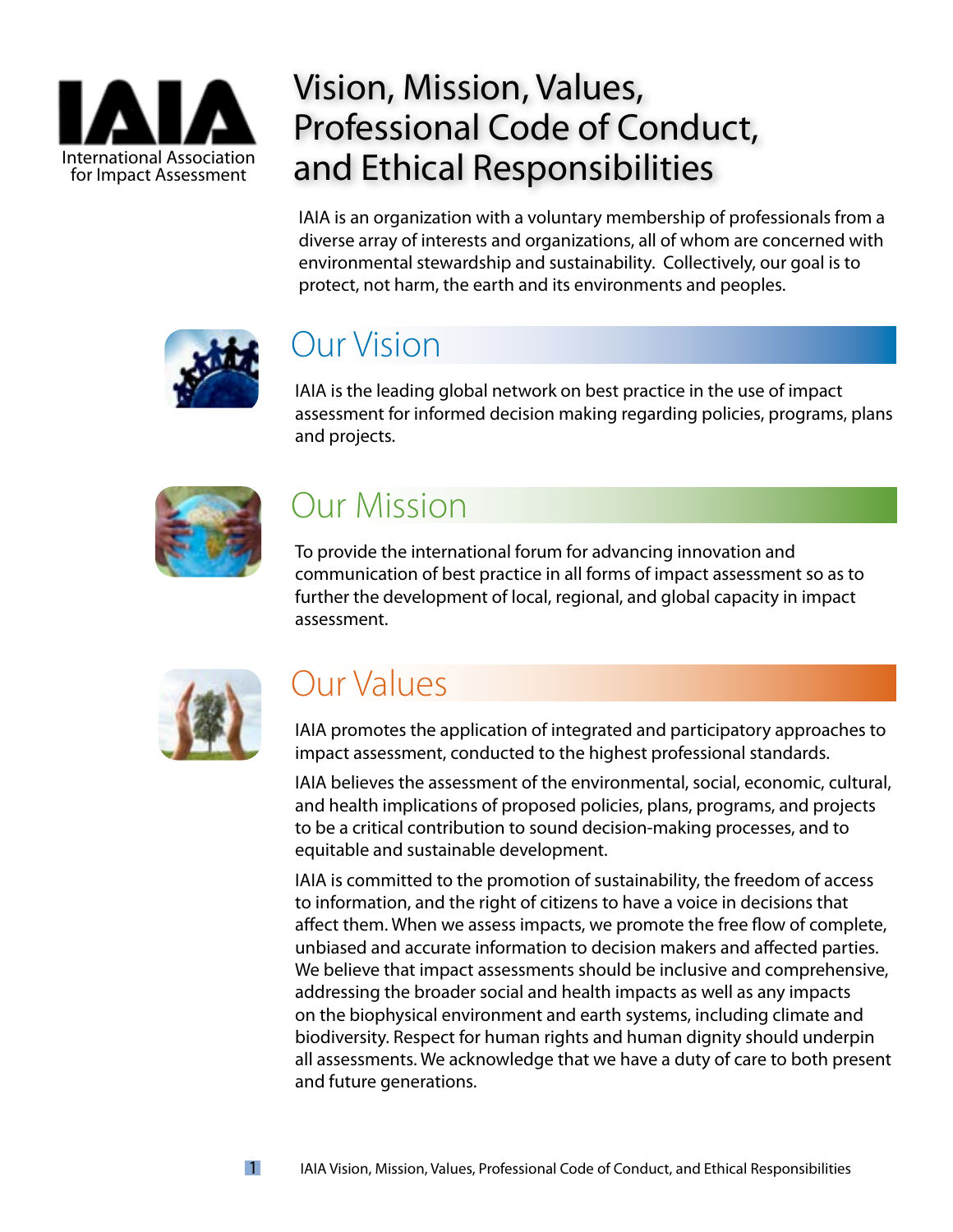

### Vision, Mission, Values, Professional Code of Conduct, and Ethical Responsibilities

IAIA is an organization with a voluntary membership of professionals from a diverse array of interests and organizations, all of whom are concerned with environmental stewardship and sustainability. Collectively, our goal is to protect, not harm, the earth and its environments and peoples.



### Our Vision

IAIA is the leading global network on best practice in the use of impact assessment for informed decision making regarding policies, programs, plans and projects.



### Our Mission

To provide the international forum for advancing innovation and communication of best practice in all forms of impact assessment so as to further the development of local, regional, and global capacity in impact assessment.



## Our Values

IAIA promotes the application of integrated and participatory approaches to impact assessment, conducted to the highest professional standards.

IAIA believes the assessment of the environmental, social, economic, cultural, and health implications of proposed policies, plans, programs, and projects to be a critical contribution to sound decision-making processes, and to equitable and sustainable development.

IAIA is committed to the promotion of sustainability, the freedom of access to information, and the right of citizens to have a voice in decisions that affect them. When we assess impacts, we promote the free flow of complete, unbiased and accurate information to decision makers and affected parties. We believe that impact assessments should be inclusive and comprehensive, addressing the broader social and health impacts as well as any impacts on the biophysical environment and earth systems, including climate and biodiversity. Respect for human rights and human dignity should underpin all assessments. We acknowledge that we have a duty of care to both present and future generations.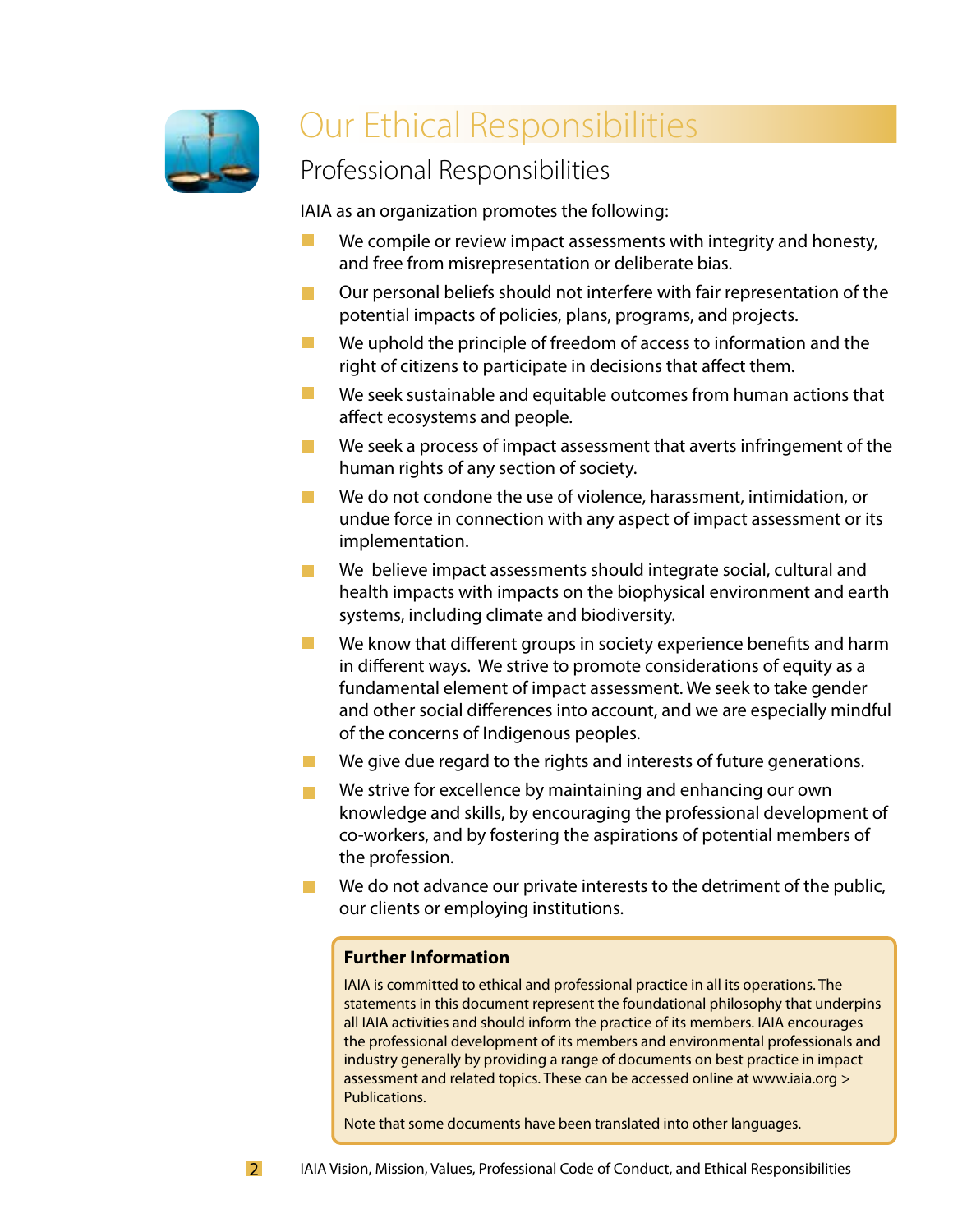

## Our Ethical Responsibilities

### Professional Responsibilities

IAIA as an organization promotes the following:

- We compile or review impact assessments with integrity and honesty,  $\mathcal{C}^{\mathcal{A}}$ and free from misrepresentation or deliberate bias.
- $\blacksquare$ Our personal beliefs should not interfere with fair representation of the potential impacts of policies, plans, programs, and projects.
- $\mathcal{L}^{\mathcal{L}}$ We uphold the principle of freedom of access to information and the right of citizens to participate in decisions that affect them.
- $\mathbb{Z}^2$ We seek sustainable and equitable outcomes from human actions that affect ecosystems and people.
- We seek a process of impact assessment that averts infringement of the  $\mathcal{L}_{\mathcal{A}}$ human rights of any section of society.
- We do not condone the use of violence, harassment, intimidation, or  $\Box$ undue force in connection with any aspect of impact assessment or its implementation.
- We believe impact assessments should integrate social, cultural and  $\mathcal{L}^{\mathcal{L}}$ health impacts with impacts on the biophysical environment and earth systems, including climate and biodiversity.
- We know that different groups in society experience benefits and harm  $\mathcal{L}_{\mathcal{A}}$ in different ways. We strive to promote considerations of equity as a fundamental element of impact assessment. We seek to take gender and other social differences into account, and we are especially mindful of the concerns of Indigenous peoples.
- We give due regard to the rights and interests of future generations. **The Co**
- We strive for excellence by maintaining and enhancing our own **The State** knowledge and skills, by encouraging the professional development of co-workers, and by fostering the aspirations of potential members of the profession.
- **COL** We do not advance our private interests to the detriment of the public, our clients or employing institutions.

#### **Further Information**

IAIA is committed to ethical and professional practice in all its operations. The statements in this document represent the foundational philosophy that underpins all IAIA activities and should inform the practice of its members. IAIA encourages the professional development of its members and environmental professionals and industry generally by providing a range of documents on best practice in impact assessment and related topics. These can be accessed online at www.iaia.org > Publications.

Note that some documents have been translated into other languages.

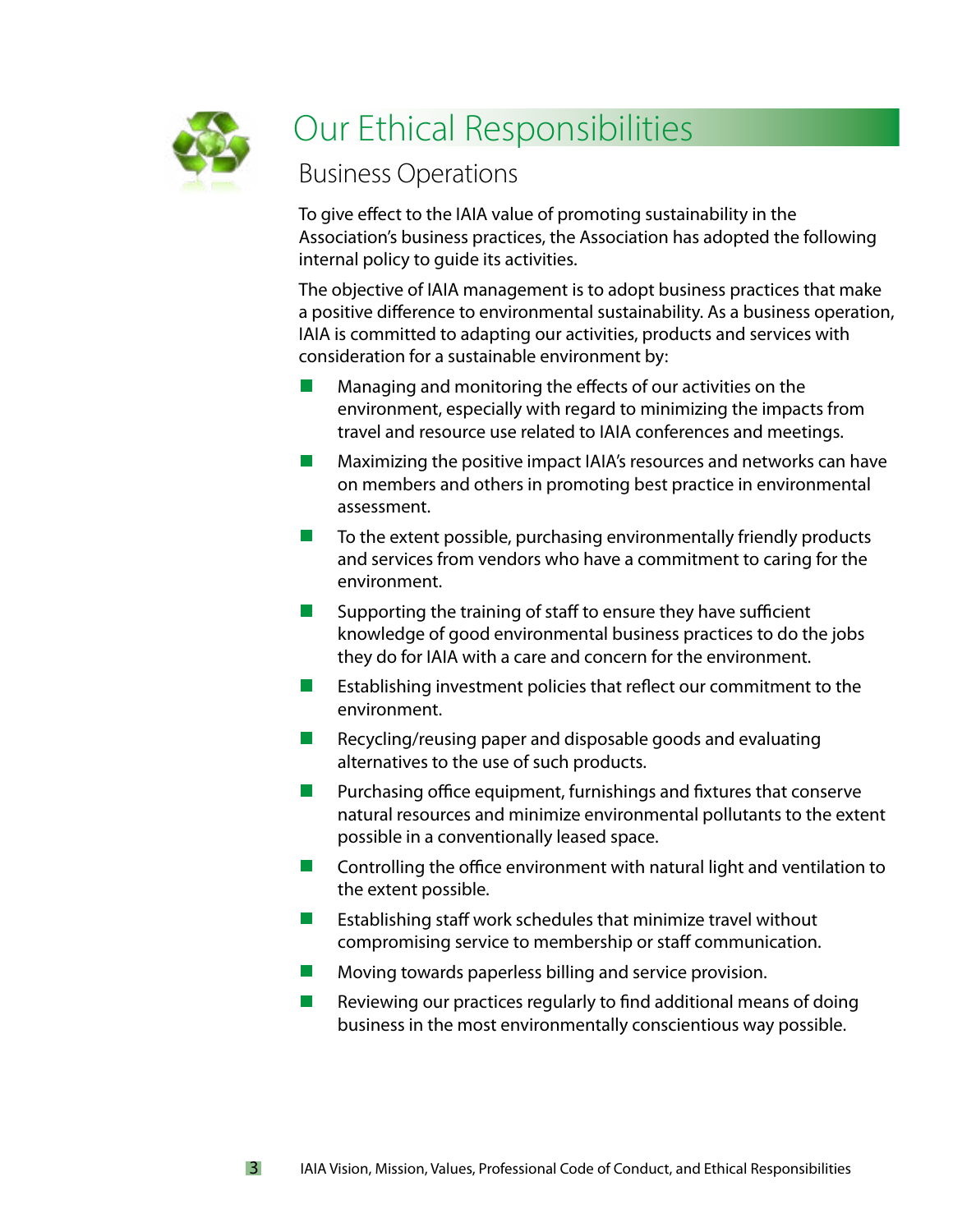

3

## Our Ethical Responsibilities

### Business Operations

To give effect to the IAIA value of promoting sustainability in the Association's business practices, the Association has adopted the following internal policy to guide its activities.

The objective of IAIA management is to adopt business practices that make a positive difference to environmental sustainability. As a business operation, IAIA is committed to adapting our activities, products and services with consideration for a sustainable environment by:

- Managing and monitoring the effects of our activities on the environment, especially with regard to minimizing the impacts from travel and resource use related to IAIA conferences and meetings.
- Maximizing the positive impact IAIA's resources and networks can have  $\mathcal{L}^{\text{eff}}$ on members and others in promoting best practice in environmental assessment.
- $\mathcal{L}^{\text{max}}$ To the extent possible, purchasing environmentally friendly products and services from vendors who have a commitment to caring for the environment.
- Supporting the training of staff to ensure they have sufficient **Contract** knowledge of good environmental business practices to do the jobs they do for IAIA with a care and concern for the environment.
- Establishing investment policies that reflect our commitment to the environment.
- $\mathcal{L}^{\mathcal{A}}$ Recycling/reusing paper and disposable goods and evaluating alternatives to the use of such products.
- $\mathbb{R}^n$ Purchasing office equipment, furnishings and fixtures that conserve natural resources and minimize environmental pollutants to the extent possible in a conventionally leased space.
- Controlling the office environment with natural light and ventilation to  $\mathcal{L}(\mathcal{A})$ the extent possible.
- $\mathcal{L}^{\mathcal{A}}$ Establishing staff work schedules that minimize travel without compromising service to membership or staff communication.
- **College** Moving towards paperless billing and service provision.
- $\mathcal{L}^{\mathcal{A}}$ Reviewing our practices regularly to find additional means of doing business in the most environmentally conscientious way possible.